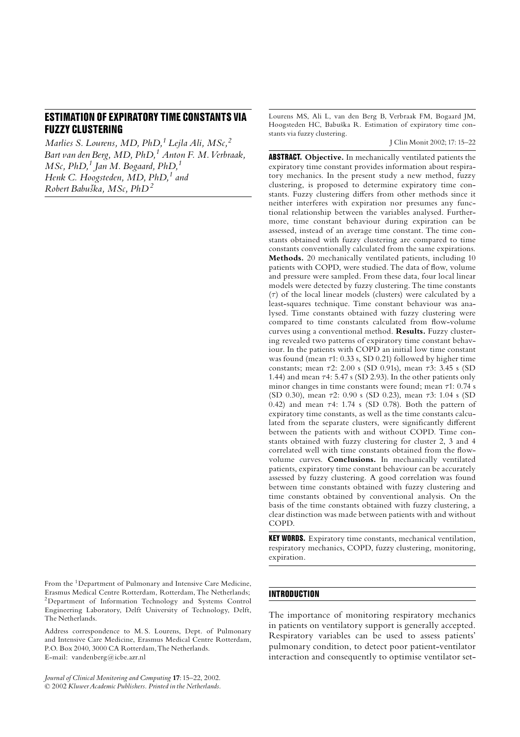# ESTIMATION OF EXPIRATORY TIME CONSTANTS VIA FUZZY CLUSTERING

Marlies S. Lourens, MD, PhD,<sup>1</sup> Lejla Ali, MSc,<sup>2</sup> Bart van den Berg,  $MD$ ,  $PhD$ ,  $1$  Anton F. M. Verbraak,  $MSc$ , PhD,<sup>1</sup> Jan M. Bogaard, PhD,<sup>1</sup> Henk C. Hoogsteden,  $MD$ ,  $PhD<sup>1</sup>$  and Robert Babuška, MSc,  $PhD<sup>2</sup>$ 

From the 1Department of Pulmonary and Intensive Care Medicine, Erasmus Medical Centre Rotterdam, Rotterdam, The Netherlands; 2Department of Information Technology and Systems Control Engineering Laboratory, Delft University of Technology, Delft, The Netherlands.

Address correspondence to M. S. Lourens, Dept. of Pulmonary and Intensive Care Medicine, Erasmus Medical Centre Rotterdam, P.O. Box 2040, 3000 CA Rotterdam,The Netherlands. E-mail: vandenberg@icbe.azr.nl

Journal of Clinical Monitoring and Computing 17: 15-22, 2002. 2002 KluwerAcademic Publishers. Printed in the Netherlands. Lourens MS, Ali L, van den Berg B, Verbraak FM, Bogaard JM, Hoogsteden HC, Babuška R. Estimation of expiratory time constants via fuzzy clustering.

J Clin Monit 2002; 17: 15^22

ABSTRACT. Objective. In mechanically ventilated patients the expiratory time constant provides information about respiratory mechanics. In the present study a new method, fuzzy clustering, is proposed to determine expiratory time constants. Fuzzy clustering differs from other methods since it neither interferes with expiration nor presumes any functional relationship between the variables analysed. Furthermore, time constant behaviour during expiration can be assessed, instead of an average time constant. The time constants obtained with fuzzy clustering are compared to time constants conventionally calculated from the same expirations. Methods. 20 mechanically ventilated patients, including 10 patients with COPD, were studied. The data of flow, volume and pressure were sampled. From these data, four local linear models were detected by fuzzy clustering. The time constants  $(\tau)$  of the local linear models (clusters) were calculated by a least-squares technique. Time constant behaviour was analysed. Time constants obtained with fuzzy clustering were compared to time constants calculated from flow-volume curves using a conventional method. Results. Fuzzy clustering revealed two patterns of expiratory time constant behaviour. In the patients with COPD an initial low time constant was found (mean  $\tau$ 1: 0.33 s, SD 0.21) followed by higher time constants; mean  $\tau$ 2: 2.00 s (SD 0.91s), mean  $\tau$ 3: 3.45 s (SD 1.44) and mean  $\tau$ 4: 5.47 s (SD 2.93). In the other patients only minor changes in time constants were found; mean  $\tau$ 1: 0.74 s (SD 0.30), mean  $\tau$ 2: 0.90 s (SD 0.23), mean  $\tau$ 3: 1.04 s (SD 0.42) and mean  $\tau$ 4: 1.74 s (SD 0.78). Both the pattern of expiratory time constants, as well as the time constants calculated from the separate clusters, were significantly different between the patients with and without COPD. Time constants obtained with fuzzy clustering for cluster 2, 3 and 4 correlated well with time constants obtained from the flowvolume curves. Conclusions. In mechanically ventilated patients, expiratory time constant behaviour can be accurately assessed by fuzzy clustering. A good correlation was found between time constants obtained with fuzzy clustering and time constants obtained by conventional analysis. On the basis of the time constants obtained with fuzzy clustering, a clear distinction was made between patients with and without COPD.

KEY WORDS. Expiratory time constants, mechanical ventilation, respiratory mechanics, COPD, fuzzy clustering, monitoring, expiration.

# **INTRODUCTION**

The importance of monitoring respiratory mechanics in patients on ventilatory support is generally accepted. Respiratory variables can be used to assess patients' pulmonary condition, to detect poor patient-ventilator interaction and consequently to optimise ventilator set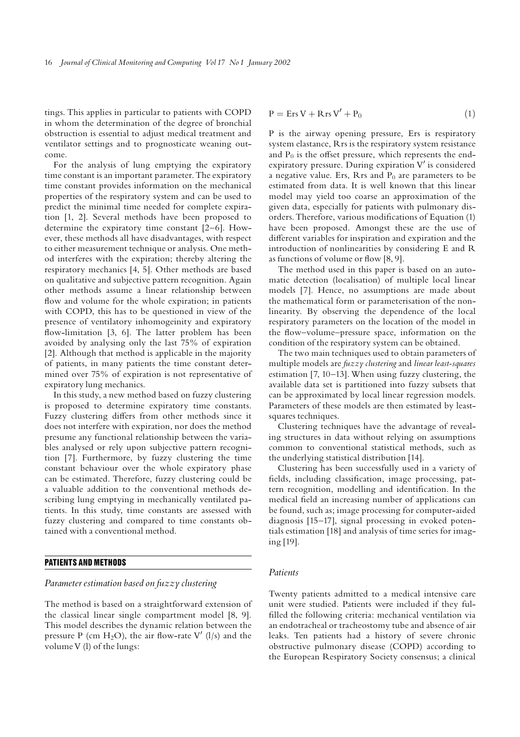tings. This applies in particular to patients with COPD in whom the determination of the degree of bronchial obstruction is essential to adjust medical treatment and ventilator settings and to prognosticate weaning outcome.

For the analysis of lung emptying the expiratory time constant is an important parameter. The expiratory time constant provides information on the mechanical properties of the respiratory system and can be used to predict the minimal time needed for complete expiration [1, 2]. Several methods have been proposed to determine the expiratory time constant [2^6]. However, these methods all have disadvantages, with respect to either measurement technique or analysis. One method interferes with the expiration; thereby altering the respiratory mechanics [4, 5]. Other methods are based on qualitative and subjective pattern recognition. Again other methods assume a linear relationship between flow and volume for the whole expiration; in patients with COPD, this has to be questioned in view of the presence of ventilatory inhomogeinity and expiratory flow-limitation [3, 6]. The latter problem has been avoided by analysing only the last 75% of expiration [2]. Although that method is applicable in the majority of patients, in many patients the time constant determined over 75% of expiration is not representative of expiratory lung mechanics.

In this study, a new method based on fuzzy clustering is proposed to determine expiratory time constants. Fuzzy clustering differs from other methods since it does not interfere with expiration, nor does the method presume any functional relationship between the variables analysed or rely upon subjective pattern recognition [7]. Furthermore, by fuzzy clustering the time constant behaviour over the whole expiratory phase can be estimated. Therefore, fuzzy clustering could be a valuable addition to the conventional methods describing lung emptying in mechanically ventilated patients. In this study, time constants are assessed with fuzzy clustering and compared to time constants obtained with a conventional method.

#### PATIENTS AND METHODS

# Parameter estimation based on fuzzy clustering

The method is based on a straightforward extension of the classical linear single compartment model [8, 9]. This model describes the dynamic relation between the pressure P (cm H<sub>2</sub>O), the air flow-rate V' (l/s) and the volume V (l) of the lungs:

$$
P = Ers V + Rrs V' + P_0 \tag{1}
$$

P is the airway opening pressure, Ers is respiratory system elastance, Rrs is the respiratory system resistance and  $P_0$  is the offset pressure, which represents the endexpiratory pressure. During expiration  $V'$  is considered a negative value. Ers, Rrs and  $P_0$  are parameters to be estimated from data. It is well known that this linear model may yield too coarse an approximation of the given data, especially for patients with pulmonary disorders. Therefore, various modifications of Equation (1) have been proposed. Amongst these are the use of different variables for inspiration and expiration and the introduction of nonlinearities by considering E and R as functions of volume or flow  $[8, 9]$ .

The method used in this paper is based on an automatic detection (localisation) of multiple local linear models [7]. Hence, no assumptions are made about the mathematical form or parameterisation of the nonlinearity. By observing the dependence of the local respiratory parameters on the location of the model in the flow-volume-pressure space, information on the condition of the respiratory system can be obtained.

The two main techniques used to obtain parameters of multiple models are fuzzy clustering and linear least-squares estimation  $[7, 10-13]$ . When using fuzzy clustering, the available data set is partitioned into fuzzy subsets that can be approximated by local linear regression models. Parameters of these models are then estimated by leastsquares techniques.

Clustering techniques have the advantage of revealing structures in data without relying on assumptions common to conventional statistical methods, such as the underlying statistical distribution [14].

Clustering has been successfully used in a variety of fields, including classification, image processing, pattern recognition, modelling and identification. In the medical field an increasing number of applications can be found, such as; image processing for computer-aided diagnosis [15-17], signal processing in evoked potentials estimation [18] and analysis of time series for imaging [19].

### Patients

Twenty patients admitted to a medical intensive care unit were studied. Patients were included if they ful filled the following criteria: mechanical ventilation via an endotracheal or tracheostomy tube and absence of air leaks. Ten patients had a history of severe chronic obstructive pulmonary disease (COPD) according to the European Respiratory Society consensus; a clinical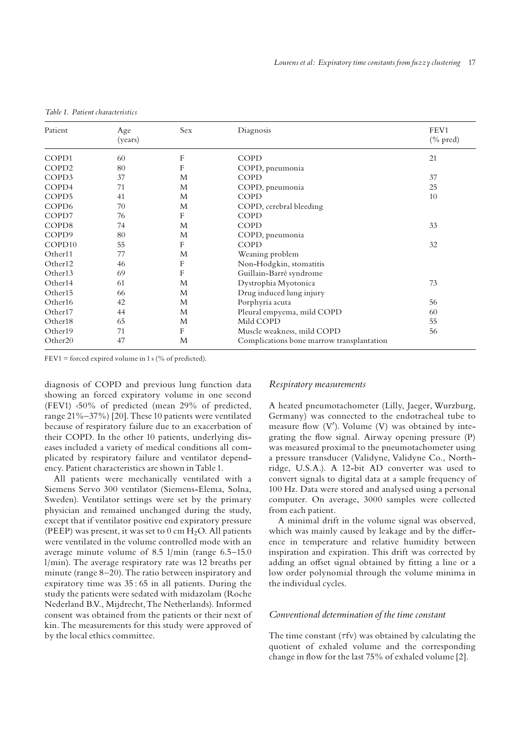| Patient             | Age<br>(years) | Sex | Diagnosis                                 | FEV1<br>$(\%$ pred) |  |
|---------------------|----------------|-----|-------------------------------------------|---------------------|--|
| COPD1               | 60             | F   | <b>COPD</b>                               | 21                  |  |
| COPD <sub>2</sub>   | 80             | F   | COPD, pneumonia                           |                     |  |
| COPD3               | 37             | M   | COPD                                      | 37                  |  |
| COPD4               | 71             | M   | COPD, pneumonia                           | 25                  |  |
| COPD5               | 41             | M   | COPD                                      | 10                  |  |
| COP <sub>D6</sub>   | 70             | M   | COPD, cerebral bleeding                   |                     |  |
| COPD7               | 76             | F   | COPD                                      |                     |  |
| COPD8               | 74             | M   | COPD                                      | 33                  |  |
| COPD9               | 80             | M   | COPD, pneumonia                           |                     |  |
| COPD <sub>10</sub>  | 55             | F   | <b>COPD</b>                               | 32                  |  |
| Other11             | 77             | M   | Weaning problem                           |                     |  |
| Other12             | 46             | F   | Non-Hodgkin, stomatitis                   |                     |  |
| Other13             | 69             | F   | Guillain-Barré syndrome                   |                     |  |
| Other14             | 61             | M   | Dystrophia Myotonica                      | 73                  |  |
| Other15             | 66             | M   | Drug induced lung injury                  |                     |  |
| Other16             | 42             | M   | Porphyria acuta                           | 56                  |  |
| Other17             | 44             | M   | Pleural empyema, mild COPD                | 60                  |  |
| Other <sub>18</sub> | 65             | M   | Mild COPD                                 | 55                  |  |
| Other19             | 71             | F   | Muscle weakness, mild COPD                | 56                  |  |
| Other <sub>20</sub> | 47             | M   | Complications bone marrow transplantation |                     |  |

FEV1 = forced expired volume in 1 s (% of predicted).

diagnosis of COPD and previous lung function data showing an forced expiratory volume in one second (FEV1) <50% of predicted (mean 29% of predicted, range 21%-37%) [20]. These 10 patients were ventilated because of respiratory failure due to an exacerbation of their COPD. In the other 10 patients, underlying diseases included a variety of medical conditions all complicated by respiratory failure and ventilator dependency. Patient characteristics are shown in Table 1.

All patients were mechanically ventilated with a Siemens Servo 300 ventilator (Siemens-Elema, Solna, Sweden). Ventilator settings were set by the primary physician and remained unchanged during the study, except that if ventilator positive end expiratory pressure (PEEP) was present, it was set to  $0 \text{ cm H}_2\text{O}$ . All patients were ventilated in the volume controlled mode with an average minute volume of 8.5  $1/m$ in (range 6.5-15.0) l/min). The average respiratory rate was 12 breaths per minute (range  $8-20$ ). The ratio between inspiratory and expiratory time was 35 : 65 in all patients. During the study the patients were sedated with midazolam (Roche Nederland B.V., Mijdrecht,The Netherlands). Informed consent was obtained from the patients or their next of kin. The measurements for this study were approved of by the local ethics committee.

#### Respiratory measurements

A heated pneumotachometer (Lilly, Jaeger, Wurzburg, Germany) was connected to the endotracheal tube to measure flow (V'). Volume (V) was obtained by integrating the flow signal. Airway opening pressure  $(P)$ was measured proximal to the pneumotachometer using a pressure transducer (Validyne, Validyne Co., Northridge, U.S.A.). A 12-bit AD converter was used to convert signals to digital data at a sample frequency of 100 Hz. Data were stored and analysed using a personal computer. On average, 3000 samples were collected from each patient.

A minimal drift in the volume signal was observed, which was mainly caused by leakage and by the difference in temperature and relative humidity between inspiration and expiration. This drift was corrected by adding an offset signal obtained by fitting a line or a low order polynomial through the volume minima in the individual cycles.

# Conventional determination of the time constant

The time constant  $(\tau f v)$  was obtained by calculating the quotient of exhaled volume and the corresponding change in flow for the last 75% of exhaled volume [2].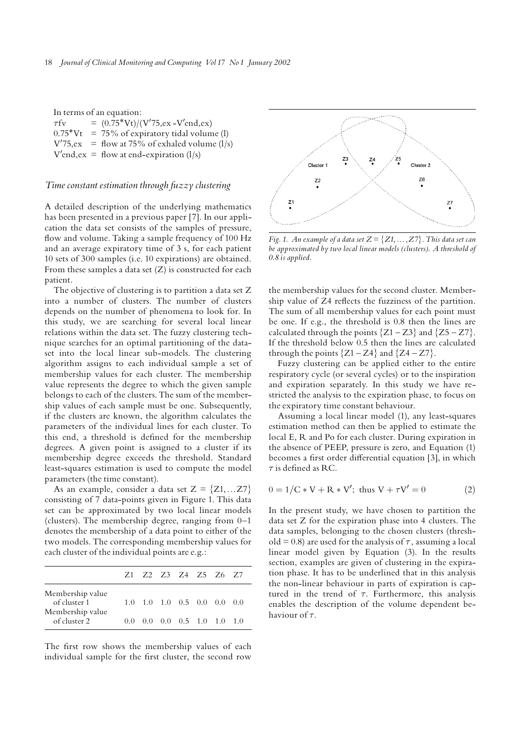| In terms of an equation: |  |                                                  |  |  |  |
|--------------------------|--|--------------------------------------------------|--|--|--|
| $\tau$ fv                |  | $=$ (0.75*Vt)/(V'75,ex -V'end,ex)                |  |  |  |
|                          |  | $0.75*Vt = 75\%$ of expiratory tidal volume (l)  |  |  |  |
|                          |  | $V'75, ex$ = flow at 75% of exhaled volume (1/s) |  |  |  |
|                          |  | $V'end, ex = flow at end-expiration (1/s)$       |  |  |  |

#### Time constant estimation through fuzzy clustering

A detailed description of the underlying mathematics has been presented in a previous paper [7]. In our application the data set consists of the samples of pressure, flow and volume. Taking a sample frequency of 100 Hz and an average expiratory time of 3 s, for each patient 10 sets of 300 samples (i.e. 10 expirations) are obtained. From these samples a data set (Z) is constructed for each patient.

The objective of clustering is to partition a data set Z into a number of clusters. The number of clusters depends on the number of phenomena to look for. In this study, we are searching for several local linear relations within the data set. The fuzzy clustering technique searches for an optimal partitioning of the dataset into the local linear sub-models. The clustering algorithm assigns to each individual sample a set of membership values for each cluster. The membership value represents the degree to which the given sample belongs to each of the clusters. The sum of the membership values of each sample must be one. Subsequently, if the clusters are known, the algorithm calculates the parameters of the individual lines for each cluster. To this end, a threshold is defined for the membership degrees. A given point is assigned to a cluster if its membership degree exceeds the threshold. Standard least-squares estimation is used to compute the model parameters (the time constant).

As an example, consider a data set  $Z = \{Z1,...Z7\}$ consisting of 7 data-points given in Figure 1. This data set can be approximated by two local linear models (clusters). The membership degree, ranging from  $0-1$ denotes the membership of a data point to either of the two models. The corresponding membership values for each cluster of the individual points are e.g.:

|                                  |        |  |  | Z1 Z2 Z3 Z4 Z5 Z6 Z7                                    |  |
|----------------------------------|--------|--|--|---------------------------------------------------------|--|
| Membership value<br>of cluster 1 |        |  |  | $1.0$ $1.0$ $1.0$ $0.5$ $0.0$ $0.0$ $0.0$               |  |
| Membership value<br>of cluster 2 | (0, 0) |  |  | $0.0 \quad 0.0 \quad 0.5 \quad 1.0 \quad 1.0 \quad 1.0$ |  |

The first row shows the membership values of each individual sample for the first cluster, the second row



Fig. 1. An example of a data set  $Z = \{Z1, \ldots, Z7\}$ . This data set can be approximated by two local linear models (clusters). A threshold of 0.8 is applied.

the membership values for the second cluster. Membership value of Z4 reflects the fuzziness of the partition. The sum of all membership values for each point must be one. If e.g., the threshold is 0.8 then the lines are calculated through the points  ${Z1 - Z3}$  and  ${Z5 - Z7}$ . If the threshold below 0.5 then the lines are calculated through the points  ${Z_1 - Z_4}$  and  ${Z_4 - Z_7}$ .

Fuzzy clustering can be applied either to the entire respiratory cycle (or several cycles) or to the inspiration and expiration separately. In this study we have restricted the analysis to the expiration phase, to focus on the expiratory time constant behaviour.

Assuming a local linear model (1), any least-squares estimation method can then be applied to estimate the local E, R and Po for each cluster. During expiration in the absence of PEEP, pressure is zero, and Equation (1) becomes a first order differential equation [3], in which  $\tau$  is defined as RC.

$$
0 = 1/C * V + R * V'; \text{ thus } V + \tau V' = 0
$$
 (2)

In the present study, we have chosen to partition the data set Z for the expiration phase into 4 clusters. The data samples, belonging to the chosen clusters (threshold = 0.8) are used for the analysis of  $\tau$ , assuming a local linear model given by Equation (3). In the results section, examples are given of clustering in the expiration phase. It has to be underlined that in this analysis the non-linear behaviour in parts of expiration is captured in the trend of  $\tau$ . Furthermore, this analysis enables the description of the volume dependent behaviour of  $\tau$ .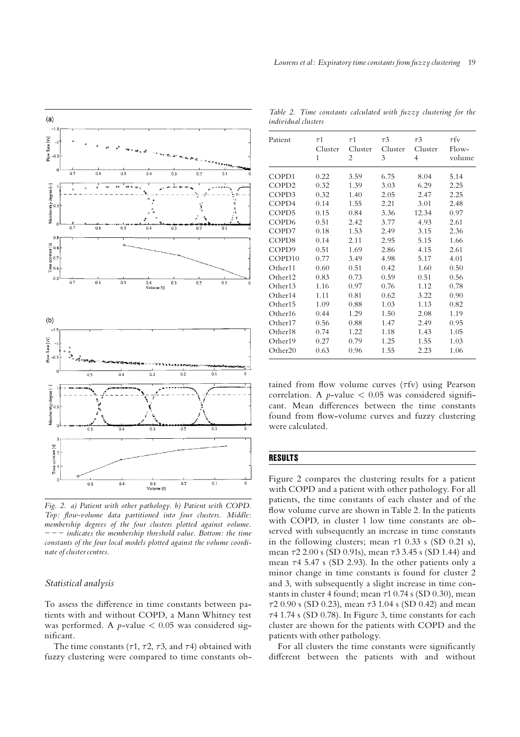

Fig. 2. a) Patient with other pathology. b) Patient with COPD. Top: flow-volume data partitioned into four clusters. Middle: membership degrees of the four clusters plotted against volume.  $---$  indicates the membership threshold value. Bottom: the time constants of the four local models plotted against the volume coordinate of cluster centres.

### Statistical analysis

To assess the difference in time constants between patients with and without COPD, a Mann Whitney test was performed. A  $p$ -value  $< 0.05$  was considered significant.

The time constants ( $\tau$ 1,  $\tau$ 2,  $\tau$ 3, and  $\tau$ 4) obtained with fuzzy clustering were compared to time constants ob-

Table 2. Time constants calculated with fuzzy clustering for the individual clusters

| Patient             | $\tau$ 1 | $\tau$ 1       | $\tau$ 3 | $\tau$ 3       | $\tau$ fv |
|---------------------|----------|----------------|----------|----------------|-----------|
|                     | Cluster  | Cluster        | Cluster  | Cluster        | Flow-     |
|                     | 1        | $\overline{2}$ | 3        | $\overline{4}$ | volume    |
| COPD1               | 0.22     | 3.59           | 6.75     | 8.04           | 5.14      |
| COPD <sub>2</sub>   | 0.32     | 1.39           | 3.03     | 6.29           | 2.25      |
| COPD3               | 0.32     | 1.40           | 2.05     | 2.47           | 2.25      |
| COPD4               | 0.14     | 1.55           | 2.21     | 3.01           | 2.48      |
| COPD5               | 0.15     | 0.84           | 3.36     | 12.34          | 0.97      |
| COPD <sub>6</sub>   | 0.51     | 2.42           | 3.77     | 4.93           | 2.61      |
| COPD7               | 0.18     | 1.53           | 2.49     | 3.15           | 2.36      |
| COPD8               | 0.14     | 2.11           | 2.95     | 5.15           | 1.66      |
| COPD <sub>9</sub>   | 0.51     | 1.69           | 2.86     | 4.15           | 2.61      |
| COPD <sub>10</sub>  | 0.77     | 3.49           | 4.98     | 5.17           | 4.01      |
| Other11             | 0.60     | 0.51           | 0.42     | 1.60           | 0.50      |
| Other <sub>12</sub> | 0.83     | 0.73           | 0.59     | 0.51           | 0.56      |
| Other13             | 1.16     | 0.97           | 0.76     | 1.12           | 0.78      |
| Other14             | 1.11     | 0.81           | 0.62     | 3.22           | 0.90      |
| Other15             | 1.09     | 0.88           | 1.03     | 1.13           | 0.82      |
| Other16             | 0.44     | 1.29           | 1.50     | 2.08           | 1.19      |
| Other17             | 0.56     | 0.88           | 1.47     | 2.49           | 0.95      |
| Other18             | 0.74     | 1.22           | 1.18     | 1.43           | 1.05      |
| Other19             | 0.27     | 0.79           | 1.25     | 1.55           | 1.03      |
| Other <sub>20</sub> | 0.63     | 0.96           | 1.55     | 2.23           | 1.06      |

tained from flow volume curves  $(\tau f v)$  using Pearson correlation. A *p*-value  $\langle 0.05 \rangle$  was considered significant. Mean differences between the time constants found from flow-volume curves and fuzzy clustering were calculated.

# RESULTS

Figure 2 compares the clustering results for a patient with COPD and a patient with other pathology. For all patients, the time constants of each cluster and of the flow volume curve are shown in Table 2. In the patients with COPD, in cluster 1 low time constants are observed with subsequently an increase in time constants in the following clusters; mean  $\tau$ 1 0.33 s (SD 0.21 s), mean  $\tau$ 2 2.00 s (SD 0.91s), mean  $\tau$ 3 3.45 s (SD 1.44) and mean  $\tau$ 4 5.47 s (SD 2.93). In the other patients only a minor change in time constants is found for cluster 2 and 3, with subsequently a slight increase in time constants in cluster 4 found; mean  $\tau$ 1 0.74 s (SD 0.30), mean  $\tau$ 2 0.90 s (SD 0.23), mean  $\tau$ 3 1.04 s (SD 0.42) and mean  $\tau$ 4 1.74 s (SD 0.78). In Figure 3, time constants for each cluster are shown for the patients with COPD and the patients with other pathology.

For all clusters the time constants were significantly different between the patients with and without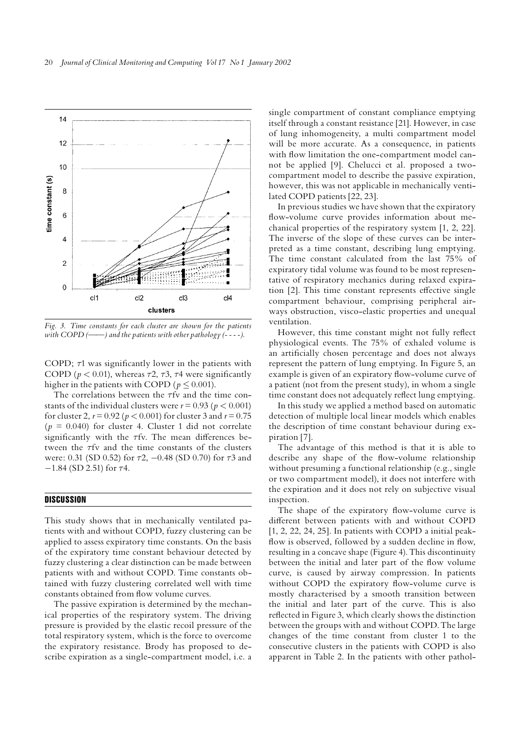

Fig. 3. Time constants for each cluster are shown for the patients with  $COPD \, (\longrightarrow)$  and the patients with other pathology (----).

COPD;  $\tau$ 1 was significantly lower in the patients with COPD ( $p < 0.01$ ), whereas  $\tau$ 2,  $\tau$ 3,  $\tau$ 4 were significantly higher in the patients with COPD ( $p \le 0.001$ ).

The correlations between the  $\tau$ fv and the time constants of the individual clusters were  $r = 0.93$  ( $p < 0.001$ ) for cluster 2,  $r = 0.92$  ( $p < 0.001$ ) for cluster 3 and  $r = 0.75$  $(p = 0.040)$  for cluster 4. Cluster 1 did not correlate significantly with the  $\tau$ fy. The mean differences between the  $\tau$ fv and the time constants of the clusters were: 0.31 (SD 0.52) for  $\tau$ 2, -0.48 (SD 0.70) for  $\tau$ 3 and  $-1.84$  (SD 2.51) for  $\tau$ 4.

#### **DISCUSSION**

This study shows that in mechanically ventilated patients with and without COPD, fuzzy clustering can be applied to assess expiratory time constants. On the basis of the expiratory time constant behaviour detected by fuzzy clustering a clear distinction can be made between patients with and without COPD. Time constants obtained with fuzzy clustering correlated well with time constants obtained from flow volume curves.

The passive expiration is determined by the mechanical properties of the respiratory system. The driving pressure is provided by the elastic recoil pressure of the total respiratory system, which is the force to overcome the expiratory resistance. Brody has proposed to describe expiration as a single-compartment model, i.e. a

single compartment of constant compliance emptying itself through a constant resistance [21]. However, in case of lung inhomogeneity, a multi compartment model will be more accurate. As a consequence, in patients with flow limitation the one-compartment model cannot be applied [9]. Chelucci et al. proposed a twocompartment model to describe the passive expiration, however, this was not applicable in mechanically ventilated COPD patients [22, 23].

In previous studies we have shown that the expiratory flow-volume curve provides information about mechanical properties of the respiratory system [1, 2, 22]. The inverse of the slope of these curves can be interpreted as a time constant, describing lung emptying. The time constant calculated from the last 75% of expiratory tidal volume was found to be most representative of respiratory mechanics during relaxed expiration  $[2]$ . This time constant represents effective single compartment behaviour, comprising peripheral airways obstruction, visco-elastic properties and unequal ventilation.

However, this time constant might not fully reflect physiological events. The 75% of exhaled volume is an artificially chosen percentage and does not always represent the pattern of lung emptying. In Figure 5, an example is given of an expiratory flow-volume curve of a patient (not from the present study), in whom a single time constant does not adequately reflect lung emptying.

In this study we applied a method based on automatic detection of multiple local linear models which enables the description of time constant behaviour during expiration [7].

The advantage of this method is that it is able to describe any shape of the flow-volume relationship without presuming a functional relationship (e.g., single or two compartment model), it does not interfere with the expiration and it does not rely on subjective visual inspection.

The shape of the expiratory flow-volume curve is different between patients with and without COPD [1, 2, 22, 24, 25]. In patients with COPD a initial peak flow is observed, followed by a sudden decline in flow, resulting in a concave shape (Figure 4). This discontinuity between the initial and later part of the flow volume curve, is caused by airway compression. In patients without COPD the expiratory flow-volume curve is mostly characterised by a smooth transition between the initial and later part of the curve. This is also reflected in Figure 3, which clearly shows the distinction between the groups with and without COPD. The large changes of the time constant from cluster 1 to the consecutive clusters in the patients with COPD is also apparent in Table 2. In the patients with other pathol-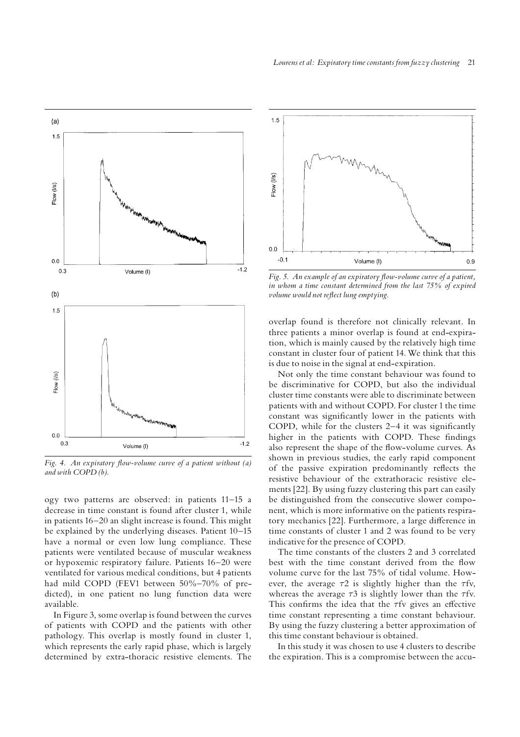

Fig. 4. An expiratory flow-volume curve of a patient without  $(a)$ and with COPD (b).

ogy two patterns are observed: in patients 11^15 a decrease in time constant is found after cluster 1, while in patients 16-20 an slight increase is found. This might be explained by the underlying diseases. Patient 10-15 have a normal or even low lung compliance. These patients were ventilated because of muscular weakness or hypoxemic respiratory failure. Patients 16^20 were ventilated for various medical conditions, but 4 patients had mild COPD (FEV1 between 50%-70% of predicted), in one patient no lung function data were available.

In Figure 3, some overlap is found between the curves of patients with COPD and the patients with other pathology. This overlap is mostly found in cluster 1, which represents the early rapid phase, which is largely determined by extra-thoracic resistive elements. The



Fig. 5. An example of an expiratory flow-volume curve of a patient, in whom a time constant determined from the last 75% of expired volume would not reflect lung emptying.

overlap found is therefore not clinically relevant. In three patients a minor overlap is found at end-expiration, which is mainly caused by the relatively high time constant in cluster four of patient 14.We think that this is due to noise in the signal at end-expiration.

Not only the time constant behaviour was found to be discriminative for COPD, but also the individual cluster time constants were able to discriminate between patients with and without COPD. For cluster 1 the time constant was significantly lower in the patients with COPD, while for the clusters  $2-4$  it was significantly higher in the patients with COPD. These findings also represent the shape of the flow-volume curves. As shown in previous studies, the early rapid component of the passive expiration predominantly reflects the resistive behaviour of the extrathoracic resistive elements [22]. By using fuzzy clustering this part can easily be distinguished from the consecutive slower component, which is more informative on the patients respiratory mechanics [22]. Furthermore, a large difference in time constants of cluster 1 and 2 was found to be very indicative for the presence of COPD.

The time constants of the clusters 2 and 3 correlated best with the time constant derived from the flow volume curve for the last 75% of tidal volume. However, the average  $\tau$ 2 is slightly higher than the  $\tau$ fv, whereas the average  $\tau$ 3 is slightly lower than the  $\tau$ fv. This confirms the idea that the  $\tau$ fv gives an effective time constant representing a time constant behaviour. By using the fuzzy clustering a better approximation of this time constant behaviour is obtained.

In this study it was chosen to use 4 clusters to describe the expiration. This is a compromise between the accu-